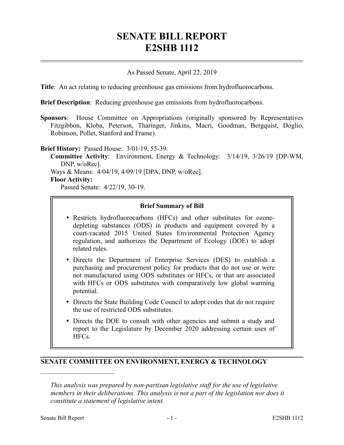# **SENATE BILL REPORT E2SHB 1112**

## As Passed Senate, April 22, 2019

**Title**: An act relating to reducing greenhouse gas emissions from hydrofluorocarbons.

**Brief Description**: Reducing greenhouse gas emissions from hydrofluorocarbons.

**Sponsors**: House Committee on Appropriations (originally sponsored by Representatives Fitzgibbon, Kloba, Peterson, Tharinger, Jinkins, Macri, Goodman, Bergquist, Doglio, Robinson, Pollet, Stanford and Frame).

#### **Brief History:** Passed House: 3/01/19, 55-39.

**Committee Activity**: Environment, Energy & Technology: 3/14/19, 3/26/19 [DP-WM, DNP, w/oRec]. Ways & Means: 4/04/19, 4/09/19 [DPA, DNP, w/oRec]. **Floor Activity:**

Passed Senate: 4/22/19, 30-19.

## **Brief Summary of Bill**

- Restricts hydrofluorocarbons (HFCs) and other substitutes for ozonedepleting substances (ODS) in products and equipment covered by a court-vacated 2015 United States Environmental Protection Agency regulation, and authorizes the Department of Ecology (DOE) to adopt related rules.
- Directs the Department of Enterprise Services (DES) to establish a purchasing and procurement policy for products that do not use or were not manufactured using ODS substitutes or HFCs, or that are associated with HFCs or ODS substitutes with comparatively low global warming potential.
- Directs the State Building Code Council to adopt codes that do not require the use of restricted ODS substitutes.
- Directs the DOE to consult with other agencies and submit a study and report to the Legislature by December 2020 addressing certain uses of HFCs.

## **SENATE COMMITTEE ON ENVIRONMENT, ENERGY & TECHNOLOGY**

––––––––––––––––––––––

*This analysis was prepared by non-partisan legislative staff for the use of legislative members in their deliberations. This analysis is not a part of the legislation nor does it constitute a statement of legislative intent.*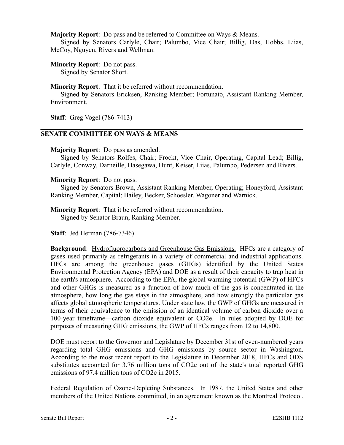**Majority Report**: Do pass and be referred to Committee on Ways & Means.

Signed by Senators Carlyle, Chair; Palumbo, Vice Chair; Billig, Das, Hobbs, Liias, McCoy, Nguyen, Rivers and Wellman.

**Minority Report**: Do not pass.

Signed by Senator Short.

**Minority Report**: That it be referred without recommendation.

Signed by Senators Ericksen, Ranking Member; Fortunato, Assistant Ranking Member, Environment.

**Staff**: Greg Vogel (786-7413)

# **SENATE COMMITTEE ON WAYS & MEANS**

## **Majority Report**: Do pass as amended.

Signed by Senators Rolfes, Chair; Frockt, Vice Chair, Operating, Capital Lead; Billig, Carlyle, Conway, Darneille, Hasegawa, Hunt, Keiser, Liias, Palumbo, Pedersen and Rivers.

## **Minority Report**: Do not pass.

Signed by Senators Brown, Assistant Ranking Member, Operating; Honeyford, Assistant Ranking Member, Capital; Bailey, Becker, Schoesler, Wagoner and Warnick.

**Minority Report**: That it be referred without recommendation. Signed by Senator Braun, Ranking Member.

**Staff**: Jed Herman (786-7346)

**Background**: Hydrofluorocarbons and Greenhouse Gas Emissions. HFCs are a category of gases used primarily as refrigerants in a variety of commercial and industrial applications. HFCs are among the greenhouse gases (GHGs) identified by the United States Environmental Protection Agency (EPA) and DOE as a result of their capacity to trap heat in the earth's atmosphere. According to the EPA, the global warming potential (GWP) of HFCs and other GHGs is measured as a function of how much of the gas is concentrated in the atmosphere, how long the gas stays in the atmosphere, and how strongly the particular gas affects global atmospheric temperatures. Under state law, the GWP of GHGs are measured in terms of their equivalence to the emission of an identical volume of carbon dioxide over a 100-year timeframe—carbon dioxide equivalent or CO2e. In rules adopted by DOE for purposes of measuring GHG emissions, the GWP of HFCs ranges from 12 to 14,800.

DOE must report to the Governor and Legislature by December 31st of even-numbered years regarding total GHG emissions and GHG emissions by source sector in Washington. According to the most recent report to the Legislature in December 2018, HFCs and ODS substitutes accounted for 3.76 million tons of CO2e out of the state's total reported GHG emissions of 97.4 million tons of CO2e in 2015.

Federal Regulation of Ozone-Depleting Substances. In 1987, the United States and other members of the United Nations committed, in an agreement known as the Montreal Protocol,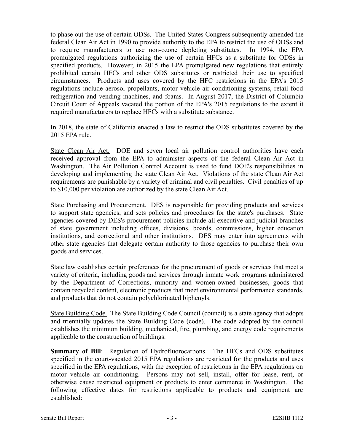to phase out the use of certain ODSs. The United States Congress subsequently amended the federal Clean Air Act in 1990 to provide authority to the EPA to restrict the use of ODSs and to require manufacturers to use non-ozone depleting substitutes. In 1994, the EPA promulgated regulations authorizing the use of certain HFCs as a substitute for ODSs in specified products. However, in 2015 the EPA promulgated new regulations that entirely prohibited certain HFCs and other ODS substitutes or restricted their use to specified circumstances. Products and uses covered by the HFC restrictions in the EPA's 2015 regulations include aerosol propellants, motor vehicle air conditioning systems, retail food refrigeration and vending machines, and foams. In August 2017, the District of Columbia Circuit Court of Appeals vacated the portion of the EPA's 2015 regulations to the extent it required manufacturers to replace HFCs with a substitute substance.

In 2018, the state of California enacted a law to restrict the ODS substitutes covered by the 2015 EPA rule.

State Clean Air Act. DOE and seven local air pollution control authorities have each received approval from the EPA to administer aspects of the federal Clean Air Act in Washington. The Air Pollution Control Account is used to fund DOE's responsibilities in developing and implementing the state Clean Air Act. Violations of the state Clean Air Act requirements are punishable by a variety of criminal and civil penalties. Civil penalties of up to \$10,000 per violation are authorized by the state Clean Air Act.

State Purchasing and Procurement. DES is responsible for providing products and services to support state agencies, and sets policies and procedures for the state's purchases. State agencies covered by DES's procurement policies include all executive and judicial branches of state government including offices, divisions, boards, commissions, higher education institutions, and correctional and other institutions. DES may enter into agreements with other state agencies that delegate certain authority to those agencies to purchase their own goods and services.

State law establishes certain preferences for the procurement of goods or services that meet a variety of criteria, including goods and services through inmate work programs administered by the Department of Corrections, minority and women-owned businesses, goods that contain recycled content, electronic products that meet environmental performance standards, and products that do not contain polychlorinated biphenyls.

State Building Code. The State Building Code Council (council) is a state agency that adopts and triennially updates the State Building Code (code). The code adopted by the council establishes the minimum building, mechanical, fire, plumbing, and energy code requirements applicable to the construction of buildings.

**Summary of Bill**: Regulation of Hydrofluorocarbons. The HFCs and ODS substitutes specified in the court-vacated 2015 EPA regulations are restricted for the products and uses specified in the EPA regulations, with the exception of restrictions in the EPA regulations on motor vehicle air conditioning. Persons may not sell, install, offer for lease, rent, or otherwise cause restricted equipment or products to enter commerce in Washington. The following effective dates for restrictions applicable to products and equipment are established: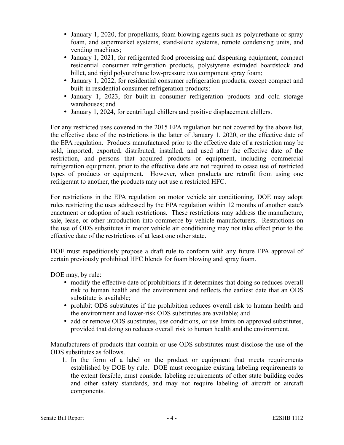- January 1, 2020, for propellants, foam blowing agents such as polyurethane or spray foam, and supermarket systems, stand-alone systems, remote condensing units, and vending machines;
- January 1, 2021, for refrigerated food processing and dispensing equipment, compact residential consumer refrigeration products, polystyrene extruded boardstock and billet, and rigid polyurethane low-pressure two component spray foam;
- January 1, 2022, for residential consumer refrigeration products, except compact and built-in residential consumer refrigeration products;
- January 1, 2023, for built-in consumer refrigeration products and cold storage warehouses; and
- January 1, 2024, for centrifugal chillers and positive displacement chillers.

For any restricted uses covered in the 2015 EPA regulation but not covered by the above list, the effective date of the restrictions is the latter of January 1, 2020, or the effective date of the EPA regulation. Products manufactured prior to the effective date of a restriction may be sold, imported, exported, distributed, installed, and used after the effective date of the restriction, and persons that acquired products or equipment, including commercial refrigeration equipment, prior to the effective date are not required to cease use of restricted types of products or equipment. However, when products are retrofit from using one refrigerant to another, the products may not use a restricted HFC.

For restrictions in the EPA regulation on motor vehicle air conditioning, DOE may adopt rules restricting the uses addressed by the EPA regulation within 12 months of another state's enactment or adoption of such restrictions. These restrictions may address the manufacture, sale, lease, or other introduction into commerce by vehicle manufacturers. Restrictions on the use of ODS substitutes in motor vehicle air conditioning may not take effect prior to the effective date of the restrictions of at least one other state.

DOE must expeditiously propose a draft rule to conform with any future EPA approval of certain previously prohibited HFC blends for foam blowing and spray foam.

DOE may, by rule:

- modify the effective date of prohibitions if it determines that doing so reduces overall risk to human health and the environment and reflects the earliest date that an ODS substitute is available;
- prohibit ODS substitutes if the prohibition reduces overall risk to human health and the environment and lower-risk ODS substitutes are available; and
- add or remove ODS substitutes, use conditions, or use limits on approved substitutes, provided that doing so reduces overall risk to human health and the environment.

Manufacturers of products that contain or use ODS substitutes must disclose the use of the ODS substitutes as follows.

1. In the form of a label on the product or equipment that meets requirements established by DOE by rule. DOE must recognize existing labeling requirements to the extent feasible, must consider labeling requirements of other state building codes and other safety standards, and may not require labeling of aircraft or aircraft components.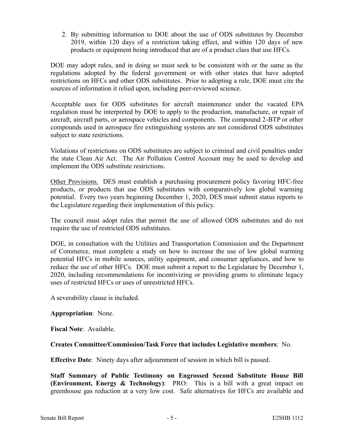2. By submitting information to DOE about the use of ODS substitutes by December 2019, within 120 days of a restriction taking effect, and within 120 days of new products or equipment being introduced that are of a product class that use HFCs.

DOE may adopt rules, and in doing so must seek to be consistent with or the same as the regulations adopted by the federal government or with other states that have adopted restrictions on HFCs and other ODS substitutes. Prior to adopting a rule, DOE must cite the sources of information it relied upon, including peer-reviewed science.

Acceptable uses for ODS substitutes for aircraft maintenance under the vacated EPA regulation must be interpreted by DOE to apply to the production, manufacture, or repair of aircraft, aircraft parts, or aerospace vehicles and components. The compound 2-BTP or other compounds used in aerospace fire extinguishing systems are not considered ODS substitutes subject to state restrictions.

Violations of restrictions on ODS substitutes are subject to criminal and civil penalties under the state Clean Air Act. The Air Pollution Control Account may be used to develop and implement the ODS substitute restrictions.

Other Provisions. DES must establish a purchasing procurement policy favoring HFC-free products, or products that use ODS substitutes with comparatively low global warming potential. Every two years beginning December 1, 2020, DES must submit status reports to the Legislature regarding their implementation of this policy.

The council must adopt rules that permit the use of allowed ODS substitutes and do not require the use of restricted ODS substitutes.

DOE, in consultation with the Utilities and Transportation Commission and the Department of Commerce, must complete a study on how to increase the use of low global warming potential HFCs in mobile sources, utility equipment, and consumer appliances, and how to reduce the use of other HFCs. DOE must submit a report to the Legislature by December 1, 2020, including recommendations for incentivizing or providing grants to eliminate legacy uses of restricted HFCs or uses of unrestricted HFCs.

A severability clause is included.

## **Appropriation**: None.

**Fiscal Note**: Available.

# **Creates Committee/Commission/Task Force that includes Legislative members**: No.

**Effective Date**: Ninety days after adjournment of session in which bill is passed.

**Staff Summary of Public Testimony on Engrossed Second Substitute House Bill (Environment, Energy & Technology)**: PRO: This is a bill with a great impact on greenhouse gas reduction at a very low cost. Safe alternatives for HFCs are available and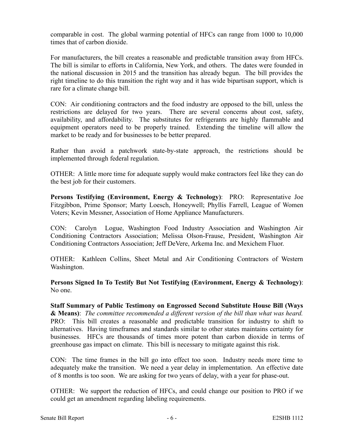comparable in cost. The global warming potential of HFCs can range from 1000 to 10,000 times that of carbon dioxide.

For manufacturers, the bill creates a reasonable and predictable transition away from HFCs. The bill is similar to efforts in California, New York, and others. The dates were founded in the national discussion in 2015 and the transition has already begun. The bill provides the right timeline to do this transition the right way and it has wide bipartisan support, which is rare for a climate change bill.

CON: Air conditioning contractors and the food industry are opposed to the bill, unless the restrictions are delayed for two years. There are several concerns about cost, safety, availability, and affordability. The substitutes for refrigerants are highly flammable and equipment operators need to be properly trained. Extending the timeline will allow the market to be ready and for businesses to be better prepared.

Rather than avoid a patchwork state-by-state approach, the restrictions should be implemented through federal regulation.

OTHER: A little more time for adequate supply would make contractors feel like they can do the best job for their customers.

**Persons Testifying (Environment, Energy & Technology)**: PRO: Representative Joe Fitzgibbon, Prime Sponsor; Marty Loesch, Honeywell; Phyllis Farrell, League of Women Voters; Kevin Messner, Association of Home Appliance Manufacturers.

CON: Carolyn Logue, Washington Food Industry Association and Washington Air Conditioning Contractors Association; Melissa Olson-Frause, President, Washington Air Conditioning Contractors Association; Jeff DeVere, Arkema Inc. and Mexichem Fluor.

OTHER: Kathleen Collins, Sheet Metal and Air Conditioning Contractors of Western Washington.

**Persons Signed In To Testify But Not Testifying (Environment, Energy & Technology)**: No one.

**Staff Summary of Public Testimony on Engrossed Second Substitute House Bill (Ways & Means)**: *The committee recommended a different version of the bill than what was heard.*  PRO: This bill creates a reasonable and predictable transition for industry to shift to alternatives. Having timeframes and standards similar to other states maintains certainty for businesses. HFCs are thousands of times more potent than carbon dioxide in terms of greenhouse gas impact on climate. This bill is necessary to mitigate against this risk.

CON: The time frames in the bill go into effect too soon. Industry needs more time to adequately make the transition. We need a year delay in implementation. An effective date of 8 months is too soon. We are asking for two years of delay, with a year for phase-out.

OTHER: We support the reduction of HFCs, and could change our position to PRO if we could get an amendment regarding labeling requirements.